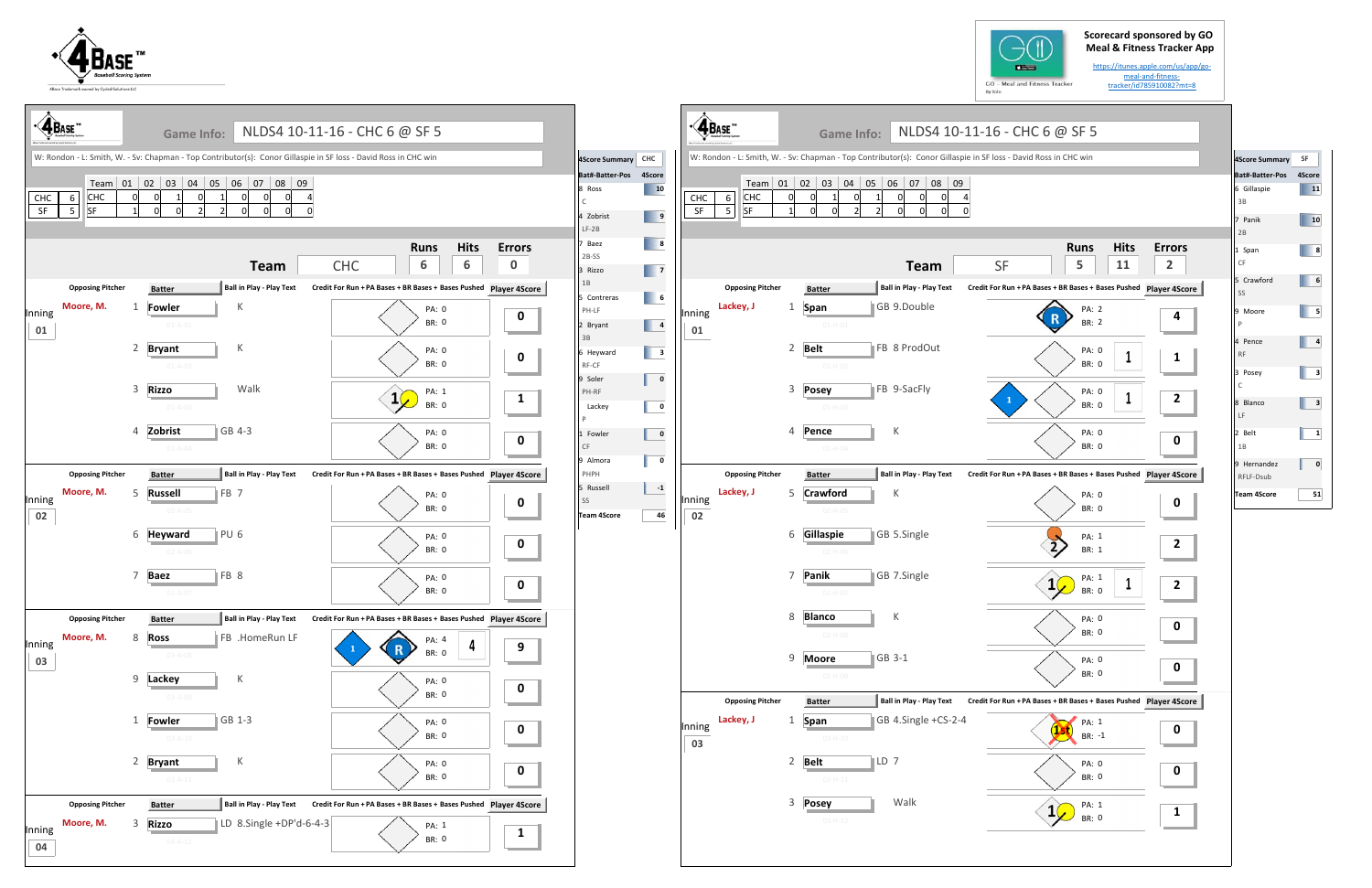## **Scorecard sponsored by GO Meal & Fitness Tracker App**

https://itunes.apple.com/us/app/go‐ meal‐and‐fitness‐ tracker/id785910082?mt=8

| ame Info:                                                |                                                                                     | NLDS4 10-11-16 - CHC 6 @ SF 5                                               |                    |
|----------------------------------------------------------|-------------------------------------------------------------------------------------|-----------------------------------------------------------------------------|--------------------|
|                                                          |                                                                                     | an - Top Contributor(s): Conor Gillaspie in SF loss - David Ross in CHC win |                    |
| 05<br>3<br>04<br>1<br>0<br>$\overline{c}$<br>$\mathbf 0$ | 06<br>08<br>09<br>07<br>1<br>0<br>0<br>0<br>4<br>$\overline{2}$<br>0<br>0<br>0<br>0 |                                                                             |                    |
|                                                          | <b>Team</b>                                                                         | <b>Hits</b><br><b>Runs</b><br>5<br>11<br><b>SF</b>                          | <b>Errors</b><br>2 |
| r                                                        | <b>Ball in Play - Play Text</b>                                                     | Credit For Run + PA Bases + BR Bases + Bases Pushed Player 4Score           |                    |
| 1-H-01                                                   | GB 9.Double                                                                         | PA: 2<br>BR: 2                                                              | 4                  |
| $1 - H - 02$                                             | FB 8 ProdOut                                                                        | PA: 0<br>1<br><b>BR: 0</b>                                                  | 1                  |
| y<br>$1 - H - 03$                                        | FB 9-SacFly                                                                         | PA: 0<br>1<br>$\mathbf{1}$<br><b>BR: 0</b>                                  | 2                  |
| e<br>$1 - H - 04$                                        | К                                                                                   | PA: 0<br><b>BR: 0</b>                                                       | 0                  |
| r                                                        | <b>Ball in Play - Play Text</b>                                                     | Credit For Run + PA Bases + BR Bases + Bases Pushed Player 4Score           |                    |
| ford<br>2-H-05                                           | К                                                                                   | PA: 0<br><b>BR: 0</b>                                                       | 0                  |
| spie<br>2-H-06                                           | GB 5.Single                                                                         | PA: 1<br><b>BR: 1</b>                                                       | 2                  |
| C<br>$2 - H - 07$                                        | GB 7.Single                                                                         | PA: 1<br>1<br>1<br><b>BR: 0</b>                                             | 2                  |
| O.<br>$2 - H - 08$                                       | К                                                                                   | PA: 0<br>BR: 0                                                              | 0                  |
| re<br>2-H-09                                             | GB 3-1                                                                              | PA: 0<br>BR: 0                                                              | 0                  |
| r                                                        | <b>Ball in Play - Play Text</b>                                                     | Credit For Run + PA Bases + BR Bases + Bases Pushed Player 4Score           |                    |
| $3 - H - 10$                                             | GB 4.Single +CS-2-4                                                                 | PA: 1<br>13<br>BR: -1                                                       | 0                  |
| $3 - H - 11$                                             | LD 7                                                                                | PA: 0<br>BR: 0                                                              | 0                  |
| y<br>$3 - H - 12$                                        | Walk                                                                                | PA: 1<br>1<br>BR: 0                                                         | 1                  |
|                                                          |                                                                                     |                                                                             |                    |





|              | $\sqrt{\Phi_{\text{Base}}}\$       |   | <b>Game Info:</b>               |                                                                                                                 | NLDS4 10-11-16 - CHC 6 @ SF 5                                                                                   |                           |                                                                |                                                                                                                                         |              | $\cdot \hat{\mathbf{A}}_{\text{Base}}$   | <b>Game Info:</b>            |                                 | NLDS4 10-11-16 - CHC 6 @ SF 5                                                                                   |                        |
|--------------|------------------------------------|---|---------------------------------|-----------------------------------------------------------------------------------------------------------------|-----------------------------------------------------------------------------------------------------------------|---------------------------|----------------------------------------------------------------|-----------------------------------------------------------------------------------------------------------------------------------------|--------------|------------------------------------------|------------------------------|---------------------------------|-----------------------------------------------------------------------------------------------------------------|------------------------|
|              |                                    |   |                                 |                                                                                                                 | W: Rondon - L: Smith, W. - Sv: Chapman - Top Contributor(s): Conor Gillaspie in SF loss - David Ross in CHC win |                           | <b>4Score Summary</b>                                          | CHC                                                                                                                                     |              |                                          |                              |                                 | W: Rondon - L: Smith, W. - Sv: Chapman - Top Contributor(s): Conor Gillaspie in SF loss - David Ross in CHC win |                        |
| CHC<br>SF    | $6 \mid$<br> CHC<br><b>SF</b><br>5 |   |                                 | $\vert$ Team $\vert$ 01 $\vert$ 02 $\vert$ 03 $\vert$ 04 $\vert$ 05 $\vert$ 06 $\vert$ 07 $\vert$ 08 $\vert$ 09 |                                                                                                                 |                           | <b>Bat#-Batter-Pos</b><br>8 Ross<br>C.<br>4 Zobrist<br>$LF-2B$ | 4Score<br>$\boxed{10}$<br>$\overline{\phantom{a}}$                                                                                      | CHC<br>SF    | 6<br><b>CHC</b><br>SF<br>$5\phantom{.0}$ |                              | Team 01 02 03 04 05 06 07 08 09 |                                                                                                                 |                        |
|              |                                    |   |                                 | <b>Team</b>                                                                                                     | <b>Hits</b><br><b>Runs</b><br>6<br>6<br><b>CHC</b>                                                              | <b>Errors</b><br>$\bf{0}$ | ' Baez<br>2B-SS<br>3 Rizzo                                     | $\begin{array}{ c c c }\n\hline\n\text{ }} & \text{8} \\\hline\n\end{array}$<br>$\begin{array}{ c c c }\n\hline\n\hline\n\end{array}$ 7 |              |                                          |                              | <b>Team</b>                     | <b>Hits</b><br><b>Runs</b><br>11<br>5<br><b>SF</b>                                                              | Erro<br>$\overline{2}$ |
|              | <b>Opposing Pitcher</b>            |   | <b>Batter</b>                   | <b>Ball in Play - Play Text</b>                                                                                 | Credit For Run + PA Bases + BR Bases + Bases Pushed Player 4Score                                               |                           | 1B<br>5 Contreras                                              | $\begin{array}{ c c c }\n\hline\n\text{6} & \text{6}\n\end{array}$                                                                      |              | <b>Opposing Pitcher</b>                  | <b>Batter</b>                | Ball in Play - Play Text        | Credit For Run + PA Bases + BR Bases + Bases Pushed Player 49                                                   |                        |
| Inning<br>01 | Moore, M.                          |   | <b>Fowler</b><br>$01 - A - 01$  | K                                                                                                               | <b>PA: 0</b><br><b>BR: 0</b>                                                                                    | $\mathbf 0$               | PH-LF<br>2 Bryant<br>3B                                        | $\begin{array}{ c c c }\n\hline\n\text{4} & \text{4}\n\end{array}$                                                                      | Inning<br>01 | Lackey, J                                | Span<br>$01 - H - 01$        | GB 9.Double                     | PA: 2<br>BR: 2                                                                                                  |                        |
|              |                                    |   | 2 Bryant<br>$01 - A - 02$       | $\,$ K                                                                                                          | PA: 0<br><b>BR: 0</b>                                                                                           | $\mathbf 0$               | 6 Heyward<br>RF-CF                                             | $\begin{array}{ c c } \hline \end{array}$ 3                                                                                             |              |                                          | 2 Belt<br>$01 - H - 02$      | FB 8 ProdOut                    | <b>PA: 0</b><br>BR: 0                                                                                           |                        |
|              |                                    |   | 3 Rizzo<br>$01 - A - 03$        | Walk                                                                                                            | PA: 1<br>$1\sqrt{ }$<br><b>BR: 0</b>                                                                            | $\mathbf{1}$              | 9 Soler<br>PH-RF<br>Lackey<br>P                                | $\overline{\phantom{a}}$<br>$\overline{\mathbf{0}}$                                                                                     |              |                                          | 3 Posey<br>$01 - H - 03$     | FB 9-SacFly                     | PA: 0<br>$\mathbf{1}$<br>BR: 0                                                                                  | 2                      |
|              |                                    |   | 4 Zobrist<br>$01 - A - 04$      | GB 4-3                                                                                                          | PA: 0<br><b>BR: 0</b>                                                                                           | $\mathbf 0$               | 1 Fowler<br>CF<br>9 Almora                                     | $\overline{\phantom{a}}$<br>$\overline{\mathbf{0}}$                                                                                     |              |                                          | 4 Pence<br>$01 - H - 04$     | K                               | PA: 0<br>BR: 0                                                                                                  |                        |
|              | <b>Opposing Pitcher</b>            |   | <b>Batter</b>                   | Ball in Play - Play Text                                                                                        | Credit For Run + PA Bases + BR Bases + Bases Pushed Player 4Score                                               |                           | PHPH                                                           |                                                                                                                                         |              | <b>Opposing Pitcher</b>                  | <b>Batter</b>                | <b>Ball in Play - Play Text</b> | Credit For Run + PA Bases + BR Bases + Bases Pushed Player 49                                                   |                        |
| Inning<br>02 | Moore, M.                          | 5 | <b>Russell</b><br>$02 - A - 05$ | FB 7                                                                                                            | PA: 0<br><b>BR: 0</b>                                                                                           | $\mathbf 0$               | 5 Russell<br>SS<br><b>Team 4Score</b>                          | $-1$<br>46                                                                                                                              | Inning<br>02 | Lackey, J                                | 5 Crawford<br>$02 - H - 05$  | K                               | PA: 0<br>BR: 0                                                                                                  |                        |
|              |                                    |   | 6 Heyward<br>02-A-06            | PU <sub>6</sub>                                                                                                 | <b>PA: 0</b><br><b>BR: 0</b>                                                                                    | $\mathbf 0$               |                                                                |                                                                                                                                         |              |                                          | 6 Gillaspie<br>$02 - H - 06$ | GB 5.Single                     | PA: 1<br>$\overline{2}$<br>BR: 1                                                                                |                        |
|              |                                    |   | 7 Baez<br>$02 - A - 07$         | FB 8                                                                                                            | PA: 0<br>BR: 0                                                                                                  | $\mathbf 0$               |                                                                |                                                                                                                                         |              |                                          | 7 Panik<br>$02 - H - 07$     | GB 7.Single                     | PA: 1<br>$1\sqrt{ }$<br><b>BR: 0</b>                                                                            | 2                      |
|              | <b>Opposing Pitcher</b>            |   | <b>Batter</b>                   | <b>Ball in Play - Play Text</b>                                                                                 | Credit For Run + PA Bases + BR Bases + Bases Pushed Player 4Score                                               |                           |                                                                |                                                                                                                                         |              |                                          | 8 Blanco                     | K                               | PA: 0                                                                                                           | 0                      |
| Inning       | Moore, M.                          | 8 | <b>Ross</b>                     | FB .HomeRun LF                                                                                                  | PA: 4<br>4<br>R                                                                                                 | 9                         |                                                                |                                                                                                                                         |              |                                          | $02 - H - 08$                |                                 | BR: 0                                                                                                           |                        |
| 03           |                                    |   | $03 - A - 08$<br>9 Lackey       | К                                                                                                               | <b>BR: 0</b><br>PA: 0                                                                                           |                           |                                                                |                                                                                                                                         |              |                                          | 9 Moore<br>02-H-09           | GB 3-1                          | PA: 0<br>BR: 0                                                                                                  |                        |
|              |                                    |   | 03-A-09                         |                                                                                                                 | BR: 0                                                                                                           | $\mathbf 0$               |                                                                |                                                                                                                                         |              | <b>Opposing Pitcher</b>                  | <b>Batter</b>                | Ball in Play - Play Text        | Credit For Run + PA Bases + BR Bases + Bases Pushed Player 49                                                   |                        |
|              |                                    |   | 1 Fowler<br>$03 - A - 10$       | $\vert$ GB 1-3                                                                                                  | PA: 0<br><b>BR: 0</b>                                                                                           | $\mathbf 0$               |                                                                |                                                                                                                                         | Inning<br>03 | Lackey, J                                | Span<br>$03 - H - 10$        | GB 4.Single +CS-2-4             | PA: 1<br>BR: -1                                                                                                 | 0                      |
|              |                                    |   | 2 Bryant<br>$03 - A - 11$       | $\mathsf K$                                                                                                     | PA: 0<br>BR: 0                                                                                                  | $\mathbf 0$               |                                                                |                                                                                                                                         |              |                                          | 2 Belt<br>$03 - H - 11$      | $\mathsf{L}$ D 7                | PA: 0<br>BR: 0                                                                                                  | $\mathbf 0$            |
|              | <b>Opposing Pitcher</b>            |   | Batter                          | <b>Ball in Play - Play Text</b>                                                                                 | Credit For Run + PA Bases + BR Bases + Bases Pushed Player 4Score                                               |                           |                                                                |                                                                                                                                         |              |                                          | 3 Posey                      | Walk                            | PA: 1<br>$1\sqrt{ }$                                                                                            | $\mathbf{1}$           |
| Inning<br>04 | Moore, M.                          | 3 | <b>Rizzo</b><br>$04 - A - 12$   | LD 8.Single +DP'd-6-4-3                                                                                         | PA: 1<br>BR: 0                                                                                                  | $\mathbf{1}$              |                                                                |                                                                                                                                         |              |                                          | $03-H-12$                    |                                 | BR: 0                                                                                                           |                        |



| <b>4Score Summary</b>    | SF     |
|--------------------------|--------|
| Bat#-Batter-Pos          | 4Score |
| 6 Gillaspie<br>3B        | 11     |
| Panik<br>7<br>2B         | 10     |
| 1 Span<br>CF             | 8      |
| 5 Crawford<br>SS         | 6      |
| 9 Moore<br>P             | 5      |
| 4 Pence<br><b>RF</b>     | 4      |
| 3 Posey<br>C             | 3      |
| 8 Blanco<br>LF           | 3      |
| 2 Belt<br>1B             | 1      |
| 9 Hernandez<br>RFLF-Dsub | 0      |
| <b>Team 4Score</b>       | 51     |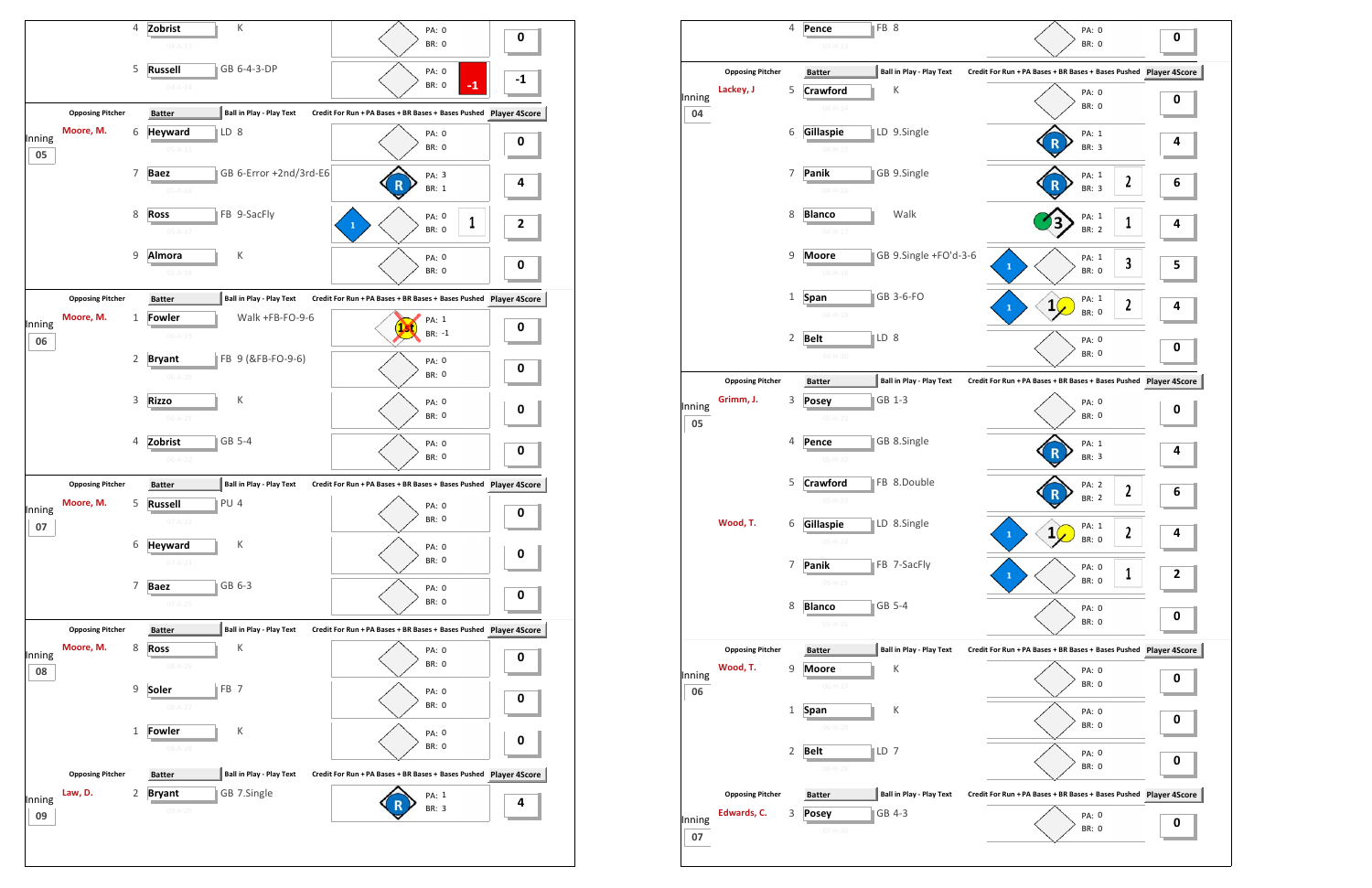

|        |                         | 4              | Pence                         | FB 8 |                                 |                                                               | PA: 0                 |              | 0           |
|--------|-------------------------|----------------|-------------------------------|------|---------------------------------|---------------------------------------------------------------|-----------------------|--------------|-------------|
|        |                         |                | $03 - H - 13$                 |      |                                 |                                                               | <b>BR: 0</b>          |              |             |
|        | <b>Opposing Pitcher</b> |                | <b>Batter</b>                 |      | Ball in Play - Play Text        | Credit For Run + PA Bases + BR Bases + Bases Pushed Player 4S |                       |              |             |
| Inning | Lackey, J               | 5              | <b>Crawford</b>               |      | Κ                               |                                                               | PA: 0<br><b>BR: 0</b> |              | $\mathbf 0$ |
| 04     |                         |                | $04 - H - 14$                 |      |                                 |                                                               |                       |              |             |
|        |                         | 6              | Gillaspie                     |      | LD 9.Single                     |                                                               | PA: 1<br><b>BR: 3</b> |              | 4           |
|        |                         |                | $04 - H - 15$                 |      |                                 |                                                               |                       |              |             |
|        |                         | 7              | Panik<br>$04 - H - 16$        |      | GB 9.Single                     |                                                               | PA: 1<br><b>BR: 3</b> | 2            | 6           |
|        |                         | 8              | <b>Blanco</b>                 |      | Walk                            |                                                               |                       |              |             |
|        |                         |                | $04 - H - 17$                 |      |                                 |                                                               | PA: 1<br><b>BR: 2</b> | 1            | 4           |
|        |                         | 9              | <b>Moore</b>                  |      | GB 9.Single +FO'd-3-6           |                                                               | PA: 1                 | 3            |             |
|        |                         |                | $04 - H - 18$                 |      |                                 | $\mathbf{1}$                                                  | BR: 0                 |              | 5           |
|        |                         | 1              | <b>Span</b>                   |      | GB 3-6-FO                       | $\mathbf 1$                                                   | PA: 1<br>$\mathbf{1}$ | $\mathbf{2}$ | 4           |
|        |                         |                | $04 - H - 19$                 |      |                                 |                                                               | <b>BR: 0</b>          |              |             |
|        |                         | 2              | <b>Belt</b>                   | LD 8 |                                 |                                                               | PA: 0<br><b>BR: 0</b> |              | 0           |
|        |                         |                | $04 - H - 20$                 |      |                                 |                                                               |                       |              |             |
|        | <b>Opposing Pitcher</b> |                | <b>Batter</b>                 |      | Ball in Play - Play Text        | Credit For Run + PA Bases + BR Bases + Bases Pushed Player 4S |                       |              |             |
| Inning | Grimm, J.               | 3              | <b>Posey</b><br>$05 - H - 21$ |      | GB 1-3                          |                                                               | PA: 0<br><b>BR: 0</b> |              | 0           |
| 05     |                         | 4              |                               |      | GB 8.Single                     |                                                               |                       |              |             |
|        |                         |                | Pence<br>$05-H-22$            |      |                                 |                                                               | PA: 1<br>BR: 3        |              | 4           |
|        |                         | 5              | <b>Crawford</b>               |      | FB 8.Double                     |                                                               | PA: 2                 | $\mathbf{2}$ |             |
|        |                         |                | $05-H-23$                     |      |                                 |                                                               | <b>BR: 2</b>          |              | 6           |
|        | Wood, T.                | 6              | Gillaspie                     |      | LD 8.Single                     | $\mathbf{1}$                                                  | PA: 1                 | L            | 4           |
|        |                         |                | $05-H-24$                     |      |                                 |                                                               | BR: 0                 |              |             |
|        |                         | 7              | Panik<br>$05 - H - 25$        |      | FB 7-SacFly                     | $\mathbf{1}$                                                  | PA: 0<br>BR: 0        | 1            | 2           |
|        |                         | 8              |                               |      | GB 5-4                          |                                                               |                       |              |             |
|        |                         |                | <b>Blanco</b><br>$05-H-26$    |      |                                 |                                                               | PA: 0<br><b>BR: 0</b> |              | 0           |
|        | <b>Opposing Pitcher</b> |                | <b>Batter</b>                 |      | <b>Ball in Play - Play Text</b> | Credit For Run + PA Bases + BR Bases + Bases Pushed Player 4S |                       |              |             |
| Inning | Wood, T.                | 9              | <b>Moore</b>                  |      | К                               |                                                               | PA: 0                 |              |             |
| 06     |                         |                | $06-H-27$                     |      |                                 |                                                               | BR: 0                 |              | 0           |
|        |                         | 1              | Span                          |      | К                               |                                                               | PA: 0                 |              | 0           |
|        |                         |                | $06-H-28$                     |      |                                 |                                                               | BR: 0                 |              |             |
|        |                         | $\overline{2}$ | <b>Belt</b>                   | LD 7 |                                 |                                                               | PA: 0<br>BR: 0        |              | 0           |
|        |                         |                | $06-H-29$                     |      |                                 |                                                               |                       |              |             |
|        | <b>Opposing Pitcher</b> |                | <b>Batter</b>                 |      | <b>Ball in Play - Play Text</b> | Credit For Run + PA Bases + BR Bases + Bases Pushed Player 4S |                       |              |             |
| Inning | Edwards, C.             | 3              | <b>Posey</b>                  |      | GB 4-3                          |                                                               | PA: 0                 |              |             |